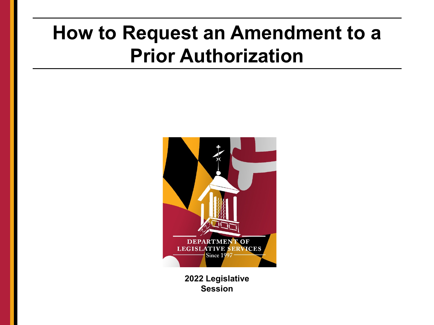#### **How to Request an Amendment to a Prior Authorization**



**2022 Legislative Session**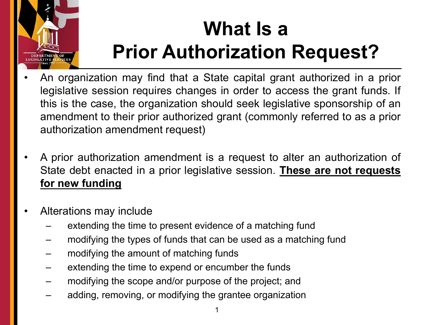

# **What Is a Prior Authorization Request?**

- An organization may find that a State capital grant authorized in a prior legislative session requires changes in order to access the grant funds. If this is the case, the organization should seek legislative sponsorship of an amendment to their prior authorized grant (commonly referred to as a prior authorization amendment request)
- A prior authorization amendment is a request to alter an authorization of State debt enacted in a prior legislative session. **These are not requests for new funding**
- Alterations may include
	- extending the time to present evidence of a matching fund
	- modifying the types of funds that can be used as a matching fund
	- modifying the amount of matching funds
	- extending the time to expend or encumber the funds
	- modifying the scope and/or purpose of the project; and
	- adding, removing, or modifying the grantee organization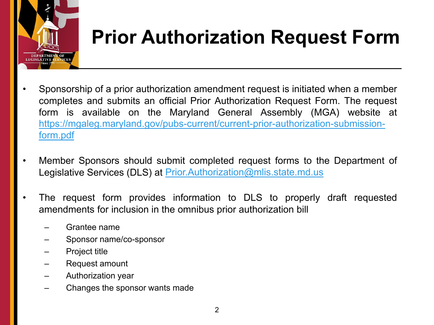

### **Prior Authorization Request Form**

- Sponsorship of a prior authorization amendment request is initiated when a member completes and submits an official Prior Authorization Request Form. The request form is available on the Maryland General Assembly (MGA) website at [https://mgaleg.maryland.gov/pubs-current/current-prior-authorization-submission](https://mgaleg.maryland.gov/pubs-current/current-prior-authorization-submission-form.pdf)form.pdf
- Member Sponsors should submit completed request forms to the Department of Legislative Services (DLS) at [Prior.Authorization@mlis.state.md.us](mailto:Prior.Authorization@mlis.state.md.us)
- The request form provides information to DLS to properly draft requested amendments for inclusion in the omnibus prior authorization bill
	- Grantee name
	- Sponsor name/co-sponsor
	- Project title
	- Request amount
	- Authorization year
	- Changes the sponsor wants made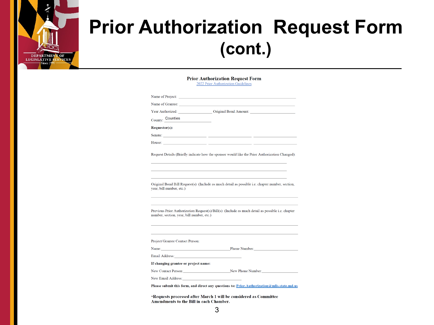

#### **Prior Authorization Request Form (cont.)**

|                                                                                                                                                                                                                                                                                                                                                                                                                                                   | Year Authorized: Original Bond Amount:                                                                  |
|---------------------------------------------------------------------------------------------------------------------------------------------------------------------------------------------------------------------------------------------------------------------------------------------------------------------------------------------------------------------------------------------------------------------------------------------------|---------------------------------------------------------------------------------------------------------|
| County: Counties                                                                                                                                                                                                                                                                                                                                                                                                                                  |                                                                                                         |
| <b>Requestor(s):</b>                                                                                                                                                                                                                                                                                                                                                                                                                              |                                                                                                         |
|                                                                                                                                                                                                                                                                                                                                                                                                                                                   | Senate: <u>Alexander Communication</u>                                                                  |
| House: $\frac{1}{\sqrt{1-\frac{1}{2}} \cdot \frac{1}{2} \cdot \frac{1}{2} \cdot \frac{1}{2} \cdot \frac{1}{2} \cdot \frac{1}{2} \cdot \frac{1}{2} \cdot \frac{1}{2} \cdot \frac{1}{2} \cdot \frac{1}{2} \cdot \frac{1}{2} \cdot \frac{1}{2} \cdot \frac{1}{2} \cdot \frac{1}{2} \cdot \frac{1}{2} \cdot \frac{1}{2} \cdot \frac{1}{2} \cdot \frac{1}{2} \cdot \frac{1}{2} \cdot \frac{1}{2} \cdot \frac{1}{2} \cdot \frac{1}{2} \cdot \frac{1}{2$ | $\overline{a}$                                                                                          |
| year, bill number, etc.)                                                                                                                                                                                                                                                                                                                                                                                                                          | Original Bond Bill Request(s): (Include as much detail as possible <i>i.e.</i> chapter number, section, |
|                                                                                                                                                                                                                                                                                                                                                                                                                                                   | Previous Prior Authorization Request(s)/Bill(s): (Include as much detail as possible i.e. chapter       |
|                                                                                                                                                                                                                                                                                                                                                                                                                                                   |                                                                                                         |
| number, section, year, bill number, etc.)<br>Project/Grantee Contact Person:                                                                                                                                                                                                                                                                                                                                                                      |                                                                                                         |
|                                                                                                                                                                                                                                                                                                                                                                                                                                                   |                                                                                                         |
|                                                                                                                                                                                                                                                                                                                                                                                                                                                   | Name: Phone Number:                                                                                     |
|                                                                                                                                                                                                                                                                                                                                                                                                                                                   |                                                                                                         |
| If changing grantee or project name:                                                                                                                                                                                                                                                                                                                                                                                                              | New Contact Person: New Phone Number:                                                                   |

Amendments to the Bill in each Chamber.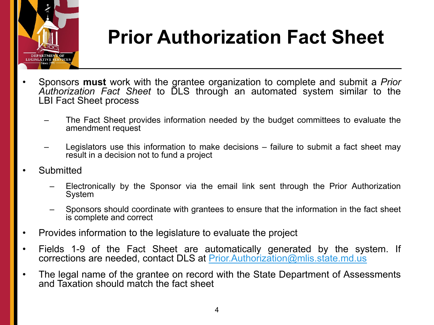

## **Prior Authorization Fact Sheet**

- Sponsors **must** work with the grantee organization to complete and submit a *Prior Authorization Fact Sheet* to DLS through an automated system similar to the LBI Fact Sheet process
	- The Fact Sheet provides information needed by the budget committees to evaluate the amendment request
	- Legislators use this information to make decisions  $-$  failure to submit a fact sheet may result in a decision not to fund a project
- **Submitted** 
	- Electronically by the Sponsor via the email link sent through the Prior Authorization System
	- Sponsors should coordinate with grantees to ensure that the information in the fact sheet is complete and correct
- Provides information to the legislature to evaluate the project
- Fields 1-9 of the Fact Sheet are automatically generated by the system. If corrections are needed, contact DLS at **[Prior.Authorization@mlis.state.md.us](mailto:Prior.Authorization@mlis.state.md.us)**
- The legal name of the grantee on record with the State Department of Assessments and Taxation should match the fact sheet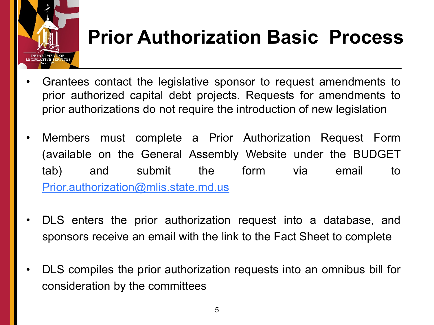

#### **Prior Authorization Basic Process**

- Grantees contact the legislative sponsor to request amendments to prior authorized capital debt projects. Requests for amendments to prior authorizations do not require the introduction of new legislation
- Members must complete a Prior Authorization Request Form (available on the General Assembly Website under the BUDGET tab) and submit the form via email to [Prior.authorization@mlis.state.md.us](mailto:Prior.authorization@mlis.state.md.us)
- DLS enters the prior authorization request into a database, and sponsors receive an email with the link to the Fact Sheet to complete
- DLS compiles the prior authorization requests into an omnibus bill for consideration by the committees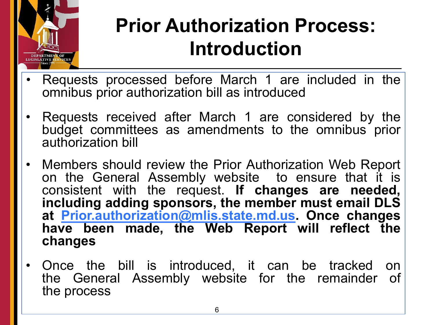

#### **Prior Authorization Process: Introduction**

- Requests processed before March 1 are included in the omnibus prior authorization bill as introduced
- Requests received after March 1 are considered by the budget committees as amendments to the omnibus prior authorization bill
- Members should review the Prior Authorization Web Report on the General Assembly website to ensure that it is consistent with the request. **If changes are needed, including adding sponsors, the member must email DLS at [Prior.authorization@mlis.state.md.us](mailto:Prior.authorization@mlis.state.md.us). Once changes have been made, the Web Report will reflect the changes**
- Once the bill is introduced, it can be tracked on the General Assembly website for the remainder of the process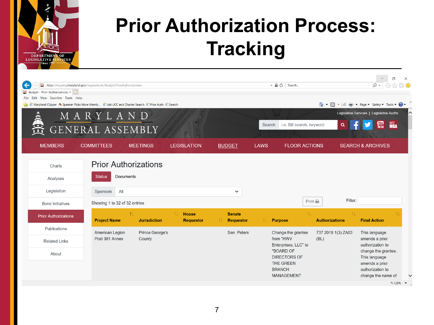

#### **Prior Authorization Process: Tracking**

| $\leftarrow$<br><b>N</b> Budget - Prior Authorizations $\times$<br>View Favorites Tools Help<br>File Edit | https://mgaleg.maryland.gov/mgawebsite/Budget/PriorAuthorizations                                 |                     |                                        |                                          | $   -$<br>Search                                                             |                                                                                             | 门<br>$\circ$<br>血安                                                                                                         | $\times$<br>- (6) C |
|-----------------------------------------------------------------------------------------------------------|---------------------------------------------------------------------------------------------------|---------------------|----------------------------------------|------------------------------------------|------------------------------------------------------------------------------|---------------------------------------------------------------------------------------------|----------------------------------------------------------------------------------------------------------------------------|---------------------|
|                                                                                                           | a e Maryland Clipper A Speaker Picks More Memb a dat UCC and Charter Search a Prior Auth a Search |                     |                                        |                                          |                                                                              |                                                                                             | N ▼ N ▼ II I I Page ▼ Safety ▼ Tools ▼ 2 ▼                                                                                 |                     |
| MARYLAND<br>GENERAL ASSEMBLY<br>í II                                                                      |                                                                                                   |                     |                                        |                                          | i.e. Bill search, keyword<br>Search                                          | Legislative Services   Legislative Audits<br><b>You)</b><br>Tube<br><b>MY</b><br><b>Mga</b> |                                                                                                                            |                     |
| <b>MEMBERS</b>                                                                                            | <b>COMMITTEES</b>                                                                                 | <b>MEETINGS</b>     | <b>LEGISLATION</b>                     | <b>BUDGET</b>                            | <b>LAWS</b><br><b>FLOOR ACTIONS</b>                                          |                                                                                             | <b>SEARCH &amp; ARCHIVES</b>                                                                                               |                     |
| Charts<br>Analyses<br>Legislation                                                                         | <b>Prior Authorizations</b><br>Documents<br><b>Status</b><br>All<br>Sponsors                      |                     |                                        | $\checkmark$                             |                                                                              | Filter:                                                                                     |                                                                                                                            |                     |
| <b>Bond Initiatives</b>                                                                                   | Showing 1 to 32 of 32 entries                                                                     |                     |                                        |                                          |                                                                              | Print $\bigoplus$                                                                           |                                                                                                                            |                     |
| <b>Prior Authorizations</b>                                                                               | $\uparrow \downarrow$<br><b>Project Name</b>                                                      | <b>Jurisdiction</b> | 11<br><b>House</b><br><b>Requestor</b> | <b>Senate</b><br>îI.<br><b>Requestor</b> | 11<br><b>Purpose</b>                                                         | $\uparrow \downarrow$<br><b>Authorizations</b>                                              | <b>Final Action</b>                                                                                                        |                     |
| Publications                                                                                              | American Legion                                                                                   | Prince George's     |                                        | Sen. Peters                              | Change the grantee                                                           | 737 2019 1(3) ZA03                                                                          | This language                                                                                                              |                     |
| <b>Related Links</b>                                                                                      | Post 381 Annex                                                                                    | County              |                                        |                                          | from "HWV<br>Enterprises, LLC" to                                            | (BL)                                                                                        | amends a prior<br>authorization to                                                                                         |                     |
| About                                                                                                     |                                                                                                   |                     |                                        |                                          | "BOARD OF<br>DIRECTORS OF<br>THE GREEN<br><b>BRANCH</b><br><b>MANAGEMENT</b> |                                                                                             | change the grantee.<br>This language<br>amends a prior<br>authorization to<br>change the name of<br>$9,125%$ $\rightarrow$ |                     |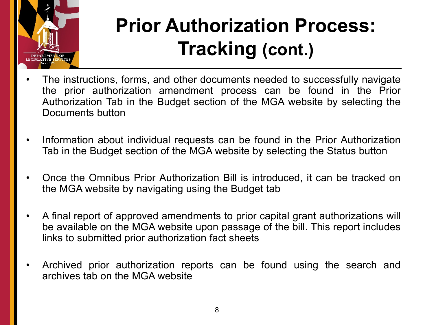

### **Prior Authorization Process: Tracking (cont.)**

- The instructions, forms, and other documents needed to successfully navigate the prior authorization amendment process can be found in the Prior Authorization Tab in the Budget section of the MGA website by selecting the Documents button
- Information about individual requests can be found in the Prior Authorization Tab in the Budget section of the MGA website by selecting the Status button
- Once the Omnibus Prior Authorization Bill is introduced, it can be tracked on the MGA website by navigating using the Budget tab
- A final report of approved amendments to prior capital grant authorizations will be available on the MGA website upon passage of the bill. This report includes links to submitted prior authorization fact sheets
- Archived prior authorization reports can be found using the search and archives tab on the MGA website